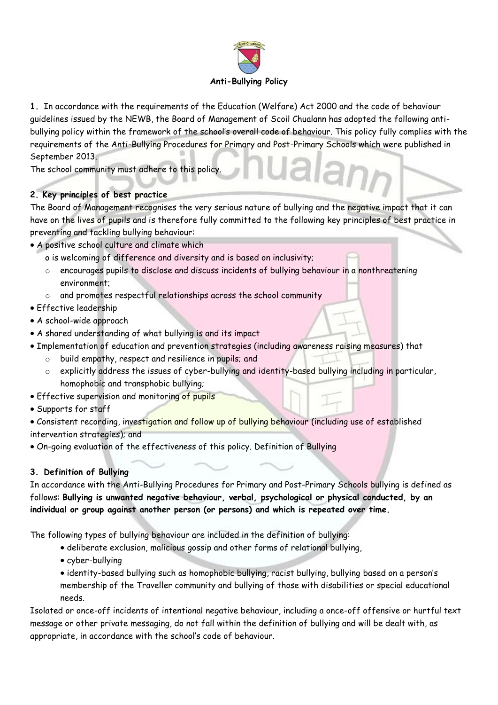

**1.** In accordance with the requirements of the Education (Welfare) Act 2000 and the code of behaviour guidelines issued by the NEWB, the Board of Management of Scoil Chualann has adopted the following antibullying policy within the framework of the school's overall code of behaviour. This policy fully complies with the requirements of the Anti-Bullying Procedures for Primary and Post-Primary Schools which were published in September 2013.

The school community must adhere to this policy.

### **2. Key principles of best practice**

The Board of Management recognises the very serious nature of bullying and the negative impact that it can have on the lives of pupils and is therefore fully committed to the following key principles of best practice in preventing and tackling bullying behaviour:

- A positive school culture and climate which
	- o is welcoming of difference and diversity and is based on inclusivity;
	- o encourages pupils to disclose and discuss incidents of bullying behaviour in a nonthreatening environment;
	- o and promotes respectful relationships across the school community
- Effective leadership
- A school-wide approach
- A shared understanding of what bullying is and its impact
- Implementation of education and prevention strategies (including awareness raising measures) that
	- o build empathy, respect and resilience in pupils; and
	- explicitly address the issues of cyber-bullying and identity-based bullying including in particular, homophobic and transphobic bullying;
- **Effective supervision and monitoring of pupils**
- Supports for staff
- Consistent recording, investigation and follow up of bullying behaviour (including use of established intervention strategies); and
- On-going evaluation of the effectiveness of this policy. Definition of Bullying

### **3. Definition of Bullying**

In accordance with the Anti-Bullying Procedures for Primary and Post-Primary Schools bullying is defined as follows: **Bullying is unwanted negative behaviour, verbal, psychological or physical conducted, by an individual or group against another person (or persons) and which is repeated over time.**

The following types of bullying behaviour are included in the definition of bullying:

- deliberate exclusion, malicious gossip and other forms of relational bullying,
- cyber-bullying
- identity-based bullying such as homophobic bullying, racist bullying, bullying based on a person's membership of the Traveller community and bullying of those with disabilities or special educational needs.

Isolated or once-off incidents of intentional negative behaviour, including a once-off offensive or hurtful text message or other private messaging, do not fall within the definition of bullying and will be dealt with, as appropriate, in accordance with the school's code of behaviour.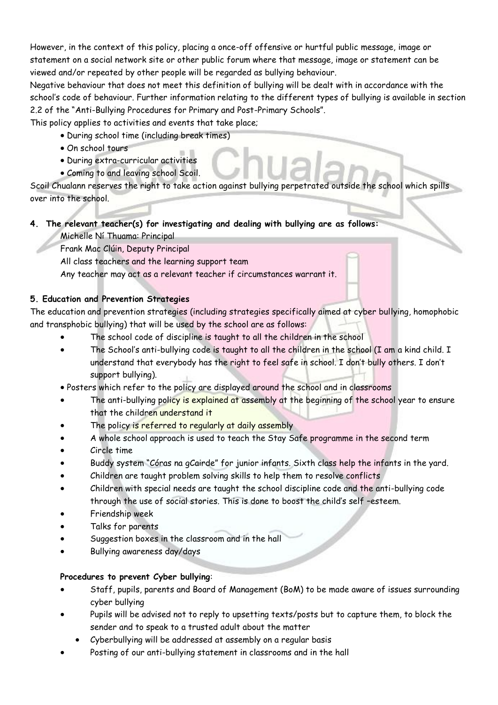However, in the context of this policy, placing a once-off offensive or hurtful public message, image or statement on a social network site or other public forum where that message, image or statement can be viewed and/or repeated by other people will be regarded as bullying behaviour.

Negative behaviour that does not meet this definition of bullying will be dealt with in accordance with the school's code of behaviour. Further information relating to the different types of bullying is available in section 2.2 of the "Anti-Bullying Procedures for Primary and Post-Primary Schools".

This policy applies to activities and events that take place;

- During school time (including break times)
- On school tours
- During extra-curricular activities
- Coming to and leaving school Scoil.

Scoil Chualann reserves the right to take action against bullying perpetrated outside the school which spills over into the school.

# **4. The relevant teacher(s) for investigating and dealing with bullying are as follows:**

Michelle Ní Thuama: Principal

Frank Mac Clúin, Deputy Principal

All class teachers and the learning support team

Any teacher may act as a relevant teacher if circumstances warrant it.

### **5. Education and Prevention Strategies**

The education and prevention strategies (including strategies specifically aimed at cyber bullying, homophobic and transphobic bullying) that will be used by the school are as follows:

- The school code of discipline is taught to all the children in the school
- The School's anti-bullying code is taught to all the children in the school (I am a kind child. I understand that everybody has the right to feel safe in school. I don't bully others. I don't support bullying).
- Posters which refer to the policy are displayed around the school and in classrooms
- The anti-bullying policy is explained at assembly at the beginning of the school year to ensure that the children understand it
- The policy is referred to regularly at daily assembly
- A whole school approach is used to teach the Stay Safe programme in the second term
- Circle time
- Buddy system "Córas na gCairde" for junior infants. Sixth class help the infants in the yard.
- Children are taught problem solving skills to help them to resolve conflicts
- Children with special needs are taught the school discipline code and the anti-bullying code through the use of social stories. This is done to boost the child's self –esteem.
- Friendship week
- Talks for parents
- Suggestion boxes in the classroom and in the hall
- Bullying awareness day/days

### **Procedures to prevent Cyber bullying**:

- Staff, pupils, parents and Board of Management (BoM) to be made aware of issues surrounding cyber bullying
- Pupils will be advised not to reply to upsetting texts/posts but to capture them, to block the sender and to speak to a trusted adult about the matter
	- Cyberbullying will be addressed at assembly on a regular basis
- Posting of our anti-bullying statement in classrooms and in the hall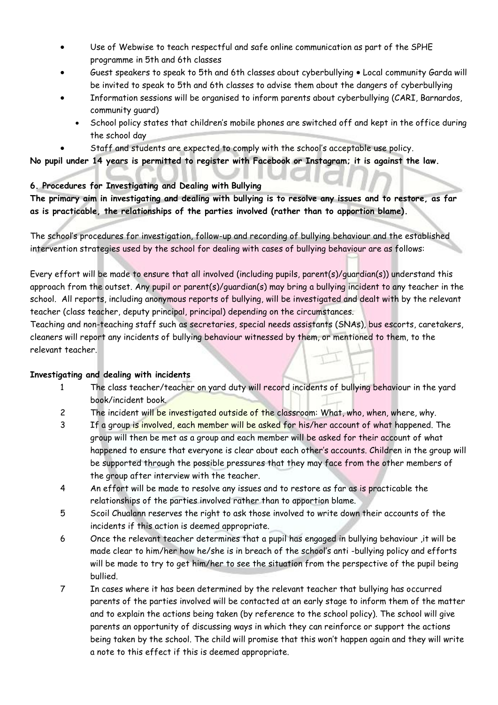- Use of Webwise to teach respectful and safe online communication as part of the SPHE programme in 5th and 6th classes
- Guest speakers to speak to 5th and 6th classes about cyberbullying Local community Garda will be invited to speak to 5th and 6th classes to advise them about the dangers of cyberbullying
- Information sessions will be organised to inform parents about cyberbullying (CARI, Barnardos, community guard)
	- School policy states that children's mobile phones are switched off and kept in the office during the school day
	- Staff and students are expected to comply with the school's acceptable use policy.

**No pupil under 14 years is permitted to register with Facebook or Instagram; it is against the law.** 

### **6. Procedures for Investigating and Dealing with Bullying**

**The primary aim in investigating and dealing with bullying is to resolve any issues and to restore, as far as is practicable, the relationships of the parties involved (rather than to apportion blame).**

The school's procedures for investigation, follow-up and recording of bullying behaviour and the established intervention strategies used by the school for dealing with cases of bullying behaviour are as follows:

Every effort will be made to ensure that all involved (including pupils, parent(s)/guardian(s)) understand this approach from the outset. Any pupil or parent(s)/guardian(s) may bring a bullying incident to any teacher in the school. All reports, including anonymous reports of bullying, will be investigated and dealt with by the relevant teacher (class teacher, deputy principal, principal) depending on the circumstances.

Teaching and non-teaching staff such as secretaries, special needs assistants (SNAs), bus escorts, caretakers, cleaners will report any incidents of bullying behaviour witnessed by them, or mentioned to them, to the relevant teacher.

### **Investigating and dealing with incidents**

- 1 The class teacher/teacher on yard duty will record incidents of bullying behaviour in the yard book/incident book.
- 2 The incident will be investigated outside of the classroom: What, who, when, where, why.
- 3 If a group is involved, each member will be asked for his/her account of what happened. The group will then be met as a group and each member will be asked for their account of what happened to ensure that everyone is clear about each other's accounts. Children in the group will be supported through the possible pressures that they may face from the other members of the group after interview with the teacher.
- 4 An effort will be made to resolve any issues and to restore as far as is practicable the relationships of the parties involved rather than to apportion blame.
- 5 Scoil Chualann reserves the right to ask those involved to write down their accounts of the incidents if this action is deemed appropriate.
- 6 Once the relevant teacher determines that a pupil has engaged in bullying behaviour ,it will be made clear to him/her how he/she is in breach of the school's anti -bullying policy and efforts will be made to try to get him/her to see the situation from the perspective of the pupil being bullied.
- 7 In cases where it has been determined by the relevant teacher that bullying has occurred parents of the parties involved will be contacted at an early stage to inform them of the matter and to explain the actions being taken (by reference to the school policy). The school will give parents an opportunity of discussing ways in which they can reinforce or support the actions being taken by the school. The child will promise that this won't happen again and they will write a note to this effect if this is deemed appropriate.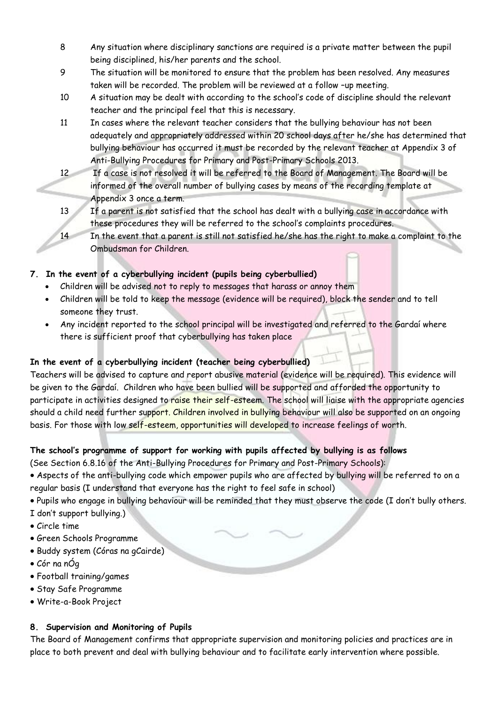- 8 Any situation where disciplinary sanctions are required is a private matter between the pupil being disciplined, his/her parents and the school.
- 9 The situation will be monitored to ensure that the problem has been resolved. Any measures taken will be recorded. The problem will be reviewed at a follow –up meeting.
- 10 A situation may be dealt with according to the school's code of discipline should the relevant teacher and the principal feel that this is necessary.
- 11 In cases where the relevant teacher considers that the bullying behaviour has not been adequately and appropriately addressed within 20 school days after he/she has determined that bullying behaviour has occurred it must be recorded by the relevant teacher at Appendix 3 of Anti-Bullying Procedures for Primary and Post-Primary Schools 2013.
- 12 If a case is not resolved it will be referred to the Board of Management. The Board will be informed of the overall number of bullying cases by means of the recording template at Appendix 3 once a term.
- 13 If a parent is not satisfied that the school has dealt with a bullying case in accordance with these procedures they will be referred to the school's complaints procedures.
- 14 In the event that a parent is still not satisfied he/she has the right to make a complaint to the Ombudsman for Children.

# **7. In the event of a cyberbullying incident (pupils being cyberbullied)**

- Children will be advised not to reply to messages that harass or annoy them
- Children will be told to keep the message (evidence will be required), block the sender and to tell someone they trust.
- Any incident reported to the school principal will be investigated and referred to the Gardaí where there is sufficient proof that cyberbullying has taken place

# **In the event of a cyberbullying incident (teacher being cyberbullied)**

Teachers will be advised to capture and report abusive material (evidence will be required). This evidence will be given to the Gardaí. Children who have been bullied will be supported and afforded the opportunity to participate in activities designed to raise their self-esteem. The school will liaise with the appropriate agencies should a child need further support. Children involved in bullying behaviour will also be supported on an ongoing basis. For those with low self-esteem, opportunities will developed to increase feelings of worth.

# **The school's programme of support for working with pupils affected by bullying is as follows**

(See Section 6.8.16 of the Anti-Bullying Procedures for Primary and Post-Primary Schools):

- Aspects of the anti-bullying code which empower pupils who are affected by bullying will be referred to on a regular basis (I understand that everyone has the right to feel safe in school)
- Pupils who engage in bullying behaviour will be reminded that they must observe the code (I don't bully others.
- I don't support bullying.)
- Circle time
- Green Schools Programme
- Buddy system (Córas na gCairde)
- Cór na nÓg
- Football training/games
- Stay Safe Programme
- Write-a-Book Project

### **8. Supervision and Monitoring of Pupils**

The Board of Management confirms that appropriate supervision and monitoring policies and practices are in place to both prevent and deal with bullying behaviour and to facilitate early intervention where possible.